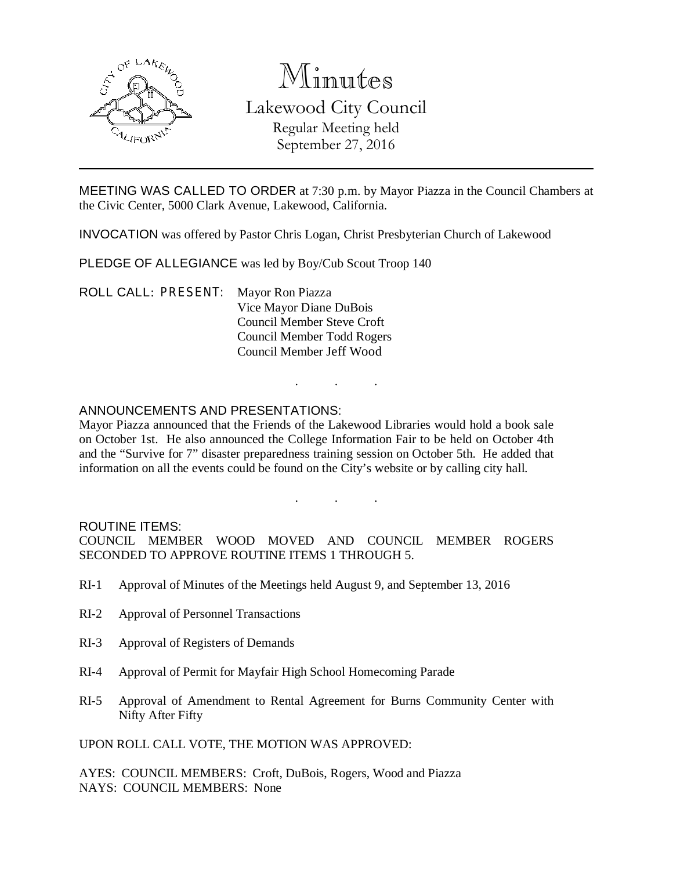

# Minutes Lakewood City Council

Regular Meeting held September 27, 2016

MEETING WAS CALLED TO ORDER at 7:30 p.m. by Mayor Piazza in the Council Chambers at the Civic Center, 5000 Clark Avenue, Lakewood, California.

INVOCATION was offered by Pastor Chris Logan, Christ Presbyterian Church of Lakewood

PLEDGE OF ALLEGIANCE was led by Boy/Cub Scout Troop 140

ROLL CALL: PRESENT: Mayor Ron Piazza Vice Mayor Diane DuBois Council Member Steve Croft Council Member Todd Rogers Council Member Jeff Wood

## ANNOUNCEMENTS AND PRESENTATIONS:

Mayor Piazza announced that the Friends of the Lakewood Libraries would hold a book sale on October 1st. He also announced the College Information Fair to be held on October 4th and the "Survive for 7" disaster preparedness training session on October 5th. He added that information on all the events could be found on the City's website or by calling city hall.

. . .

. . .

#### ROUTINE ITEMS:

COUNCIL MEMBER WOOD MOVED AND COUNCIL MEMBER ROGERS SECONDED TO APPROVE ROUTINE ITEMS 1 THROUGH 5.

- RI-1 Approval of Minutes of the Meetings held August 9, and September 13, 2016
- RI-2 Approval of Personnel Transactions
- RI-3 Approval of Registers of Demands
- RI-4 Approval of Permit for Mayfair High School Homecoming Parade
- RI-5 Approval of Amendment to Rental Agreement for Burns Community Center with Nifty After Fifty

UPON ROLL CALL VOTE, THE MOTION WAS APPROVED:

AYES: COUNCIL MEMBERS: Croft, DuBois, Rogers, Wood and Piazza NAYS: COUNCIL MEMBERS: None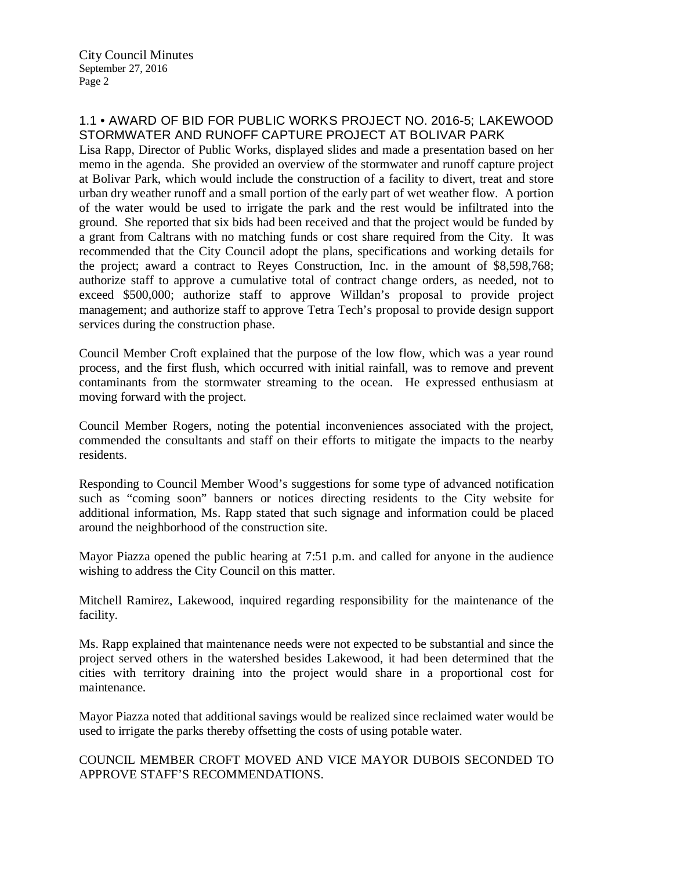City Council Minutes September 27, 2016 Page 2

## 1.1 • AWARD OF BID FOR PUBLIC WORKS PROJECT NO. 2016-5; LAKEWOOD STORMWATER AND RUNOFF CAPTURE PROJECT AT BOLIVAR PARK

Lisa Rapp, Director of Public Works, displayed slides and made a presentation based on her memo in the agenda. She provided an overview of the stormwater and runoff capture project at Bolivar Park, which would include the construction of a facility to divert, treat and store urban dry weather runoff and a small portion of the early part of wet weather flow. A portion of the water would be used to irrigate the park and the rest would be infiltrated into the ground. She reported that six bids had been received and that the project would be funded by a grant from Caltrans with no matching funds or cost share required from the City. It was recommended that the City Council adopt the plans, specifications and working details for the project; award a contract to Reyes Construction, Inc. in the amount of \$8,598,768; authorize staff to approve a cumulative total of contract change orders, as needed, not to exceed \$500,000; authorize staff to approve Willdan's proposal to provide project management; and authorize staff to approve Tetra Tech's proposal to provide design support services during the construction phase.

Council Member Croft explained that the purpose of the low flow, which was a year round process, and the first flush, which occurred with initial rainfall, was to remove and prevent contaminants from the stormwater streaming to the ocean. He expressed enthusiasm at moving forward with the project.

Council Member Rogers, noting the potential inconveniences associated with the project, commended the consultants and staff on their efforts to mitigate the impacts to the nearby residents.

Responding to Council Member Wood's suggestions for some type of advanced notification such as "coming soon" banners or notices directing residents to the City website for additional information, Ms. Rapp stated that such signage and information could be placed around the neighborhood of the construction site.

Mayor Piazza opened the public hearing at 7:51 p.m. and called for anyone in the audience wishing to address the City Council on this matter.

Mitchell Ramirez, Lakewood, inquired regarding responsibility for the maintenance of the facility.

Ms. Rapp explained that maintenance needs were not expected to be substantial and since the project served others in the watershed besides Lakewood, it had been determined that the cities with territory draining into the project would share in a proportional cost for maintenance.

Mayor Piazza noted that additional savings would be realized since reclaimed water would be used to irrigate the parks thereby offsetting the costs of using potable water.

COUNCIL MEMBER CROFT MOVED AND VICE MAYOR DUBOIS SECONDED TO APPROVE STAFF'S RECOMMENDATIONS.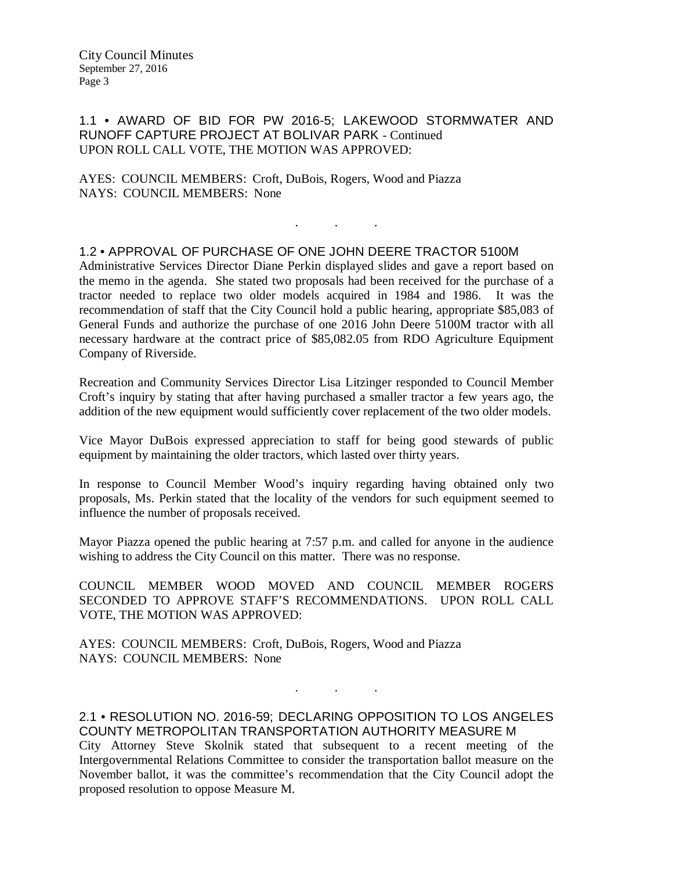City Council Minutes September 27, 2016 Page 3

#### 1.1 • AWARD OF BID FOR PW 2016-5; LAKEWOOD STORMWATER AND RUNOFF CAPTURE PROJECT AT BOLIVAR PARK - Continued UPON ROLL CALL VOTE, THE MOTION WAS APPROVED:

AYES: COUNCIL MEMBERS: Croft, DuBois, Rogers, Wood and Piazza NAYS: COUNCIL MEMBERS: None

#### 1.2 • APPROVAL OF PURCHASE OF ONE JOHN DEERE TRACTOR 5100M

Administrative Services Director Diane Perkin displayed slides and gave a report based on the memo in the agenda. She stated two proposals had been received for the purchase of a tractor needed to replace two older models acquired in 1984 and 1986. It was the recommendation of staff that the City Council hold a public hearing, appropriate \$85,083 of General Funds and authorize the purchase of one 2016 John Deere 5100M tractor with all necessary hardware at the contract price of \$85,082.05 from RDO Agriculture Equipment Company of Riverside.

. As we have a set of  $\mathcal{A}$  , and  $\mathcal{A}$ 

Recreation and Community Services Director Lisa Litzinger responded to Council Member Croft's inquiry by stating that after having purchased a smaller tractor a few years ago, the addition of the new equipment would sufficiently cover replacement of the two older models.

Vice Mayor DuBois expressed appreciation to staff for being good stewards of public equipment by maintaining the older tractors, which lasted over thirty years.

In response to Council Member Wood's inquiry regarding having obtained only two proposals, Ms. Perkin stated that the locality of the vendors for such equipment seemed to influence the number of proposals received.

Mayor Piazza opened the public hearing at 7:57 p.m. and called for anyone in the audience wishing to address the City Council on this matter. There was no response.

COUNCIL MEMBER WOOD MOVED AND COUNCIL MEMBER ROGERS SECONDED TO APPROVE STAFF'S RECOMMENDATIONS. UPON ROLL CALL VOTE, THE MOTION WAS APPROVED:

AYES: COUNCIL MEMBERS: Croft, DuBois, Rogers, Wood and Piazza NAYS: COUNCIL MEMBERS: None

2.1 • RESOLUTION NO. 2016-59; DECLARING OPPOSITION TO LOS ANGELES COUNTY METROPOLITAN TRANSPORTATION AUTHORITY MEASURE M City Attorney Steve Skolnik stated that subsequent to a recent meeting of the Intergovernmental Relations Committee to consider the transportation ballot measure on the November ballot, it was the committee's recommendation that the City Council adopt the proposed resolution to oppose Measure M.

. . .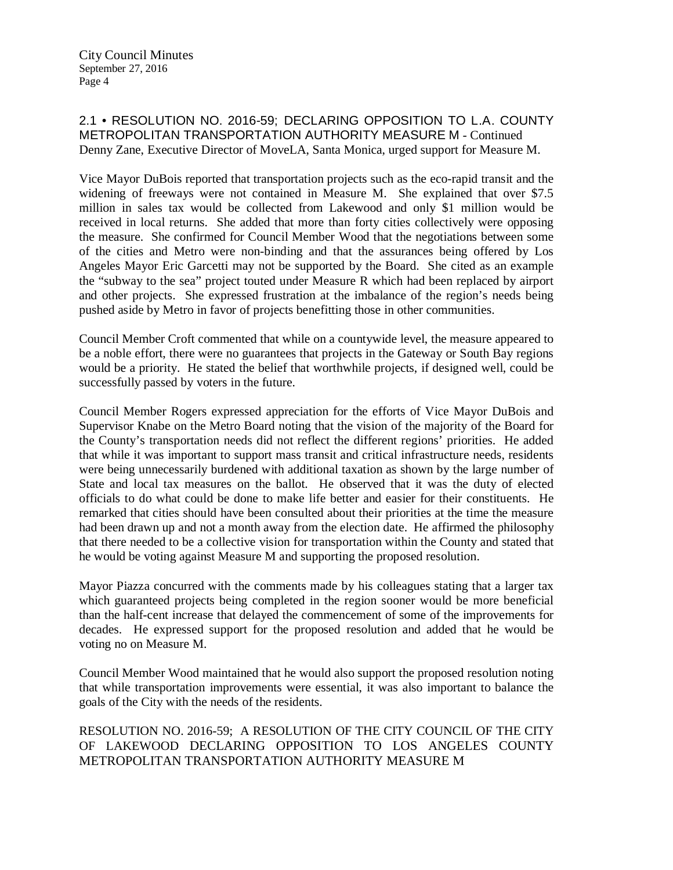## 2.1 • RESOLUTION NO. 2016-59; DECLARING OPPOSITION TO L.A. COUNTY METROPOLITAN TRANSPORTATION AUTHORITY MEASURE M - Continued Denny Zane, Executive Director of MoveLA, Santa Monica, urged support for Measure M.

Vice Mayor DuBois reported that transportation projects such as the eco-rapid transit and the widening of freeways were not contained in Measure M. She explained that over \$7.5 million in sales tax would be collected from Lakewood and only \$1 million would be received in local returns. She added that more than forty cities collectively were opposing the measure. She confirmed for Council Member Wood that the negotiations between some of the cities and Metro were non-binding and that the assurances being offered by Los Angeles Mayor Eric Garcetti may not be supported by the Board. She cited as an example the "subway to the sea" project touted under Measure R which had been replaced by airport and other projects. She expressed frustration at the imbalance of the region's needs being pushed aside by Metro in favor of projects benefitting those in other communities.

Council Member Croft commented that while on a countywide level, the measure appeared to be a noble effort, there were no guarantees that projects in the Gateway or South Bay regions would be a priority. He stated the belief that worthwhile projects, if designed well, could be successfully passed by voters in the future.

Council Member Rogers expressed appreciation for the efforts of Vice Mayor DuBois and Supervisor Knabe on the Metro Board noting that the vision of the majority of the Board for the County's transportation needs did not reflect the different regions' priorities. He added that while it was important to support mass transit and critical infrastructure needs, residents were being unnecessarily burdened with additional taxation as shown by the large number of State and local tax measures on the ballot. He observed that it was the duty of elected officials to do what could be done to make life better and easier for their constituents. He remarked that cities should have been consulted about their priorities at the time the measure had been drawn up and not a month away from the election date. He affirmed the philosophy that there needed to be a collective vision for transportation within the County and stated that he would be voting against Measure M and supporting the proposed resolution.

Mayor Piazza concurred with the comments made by his colleagues stating that a larger tax which guaranteed projects being completed in the region sooner would be more beneficial than the half-cent increase that delayed the commencement of some of the improvements for decades. He expressed support for the proposed resolution and added that he would be voting no on Measure M.

Council Member Wood maintained that he would also support the proposed resolution noting that while transportation improvements were essential, it was also important to balance the goals of the City with the needs of the residents.

RESOLUTION NO. 2016-59; A RESOLUTION OF THE CITY COUNCIL OF THE CITY OF LAKEWOOD DECLARING OPPOSITION TO LOS ANGELES COUNTY METROPOLITAN TRANSPORTATION AUTHORITY MEASURE M